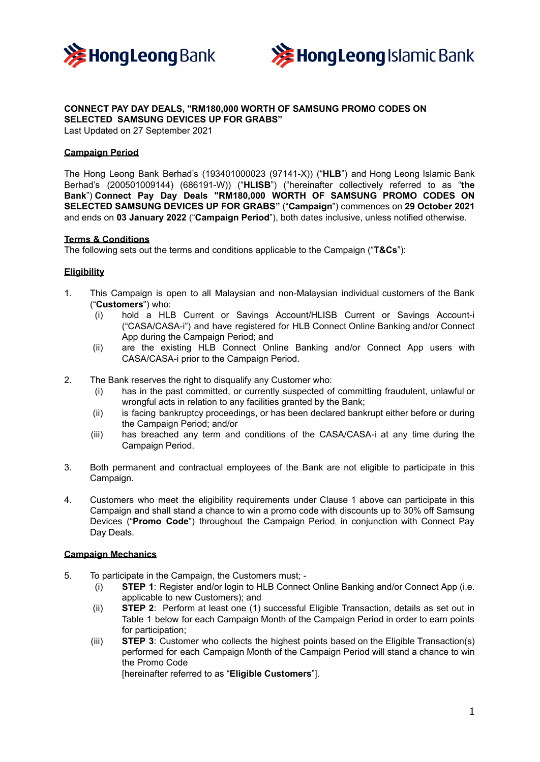



# **CONNECT PAY DAY DEALS, "RM180,000 WORTH OF SAMSUNG PROMO CODES ON SELECTED SAMSUNG DEVICES UP FOR GRABS"**

Last Updated on 27 September 2021

# **Campaign Period**

The Hong Leong Bank Berhad's (193401000023 (97141-X)) ("**HLB**") and Hong Leong Islamic Bank Berhad's (200501009144) (686191-W)) ("**HLISB**") ("hereinafter collectively referred to as "**the Bank**") **Connect Pay Day Deals "RM180,000 WORTH OF SAMSUNG PROMO CODES ON SELECTED SAMSUNG DEVICES UP FOR GRABS"** ("**Campaign**") commences on **29 October 2021** and ends on **03 January 2022** ("**Campaign Period**"), both dates inclusive, unless notified otherwise.

### **Terms & Conditions**

The following sets out the terms and conditions applicable to the Campaign ("**T&Cs**"):

# **Eligibility**

- 1. This Campaign is open to all Malaysian and non-Malaysian individual customers of the Bank ("**Customers**") who:
	- (i) hold a HLB Current or Savings Account/HLISB Current or Savings Account-i ("CASA/CASA-i") and have registered for HLB Connect Online Banking and/or Connect App during the Campaign Period; and
	- (ii) are the existing HLB Connect Online Banking and/or Connect App users with CASA/CASA-i prior to the Campaign Period.
- 2. The Bank reserves the right to disqualify any Customer who:
	- (i) has in the past committed, or currently suspected of committing fraudulent, unlawful or wrongful acts in relation to any facilities granted by the Bank;
	- (ii) is facing bankruptcy proceedings, or has been declared bankrupt either before or during the Campaign Period; and/or
	- (iii) has breached any term and conditions of the CASA/CASA-i at any time during the Campaign Period.
- 3. Both permanent and contractual employees of the Bank are not eligible to participate in this Campaign.
- 4. Customers who meet the eligibility requirements under Clause 1 above can participate in this Campaign and shall stand a chance to win a promo code with discounts up to 30% off Samsung Devices ("**Promo Code**") throughout the Campaign Period, in conjunction with Connect Pay Day Deals.

# **Campaign Mechanics**

- 5. To participate in the Campaign, the Customers must;
	- (i) **STEP 1**: Register and/or login to HLB Connect Online Banking and/or Connect App (i.e. applicable to new Customers); and
	- (ii) **STEP 2**: Perform at least one (1) successful Eligible Transaction, details as set out in Table 1 below for each Campaign Month of the Campaign Period in order to earn points for participation;
	- (iii) **STEP 3**: Customer who collects the highest points based on the Eligible Transaction(s) performed for each Campaign Month of the Campaign Period will stand a chance to win the Promo Code

[hereinafter referred to as "**Eligible Customers**"].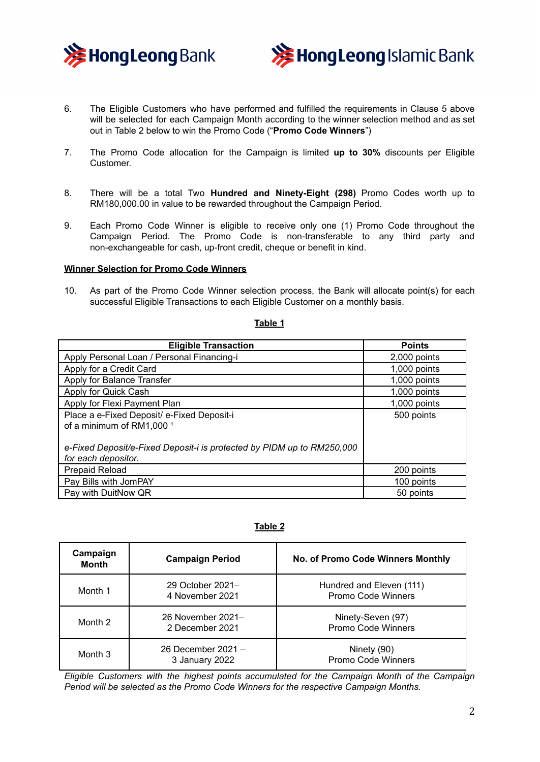



- 6. The Eligible Customers who have performed and fulfilled the requirements in Clause 5 above will be selected for each Campaign Month according to the winner selection method and as set out in Table 2 below to win the Promo Code ("**Promo Code Winners**")
- 7. The Promo Code allocation for the Campaign is limited **up to 30%** discounts per Eligible Customer.
- 8. There will be a total Two **Hundred and Ninety-Eight (298)** Promo Codes worth up to RM180,000.00 in value to be rewarded throughout the Campaign Period.
- 9. Each Promo Code Winner is eligible to receive only one (1) Promo Code throughout the Campaign Period. The Promo Code is non-transferable to any third party and non-exchangeable for cash, up-front credit, cheque or benefit in kind.

#### **Winner Selection for Promo Code Winners**

10. As part of the Promo Code Winner selection process, the Bank will allocate point(s) for each successful Eligible Transactions to each Eligible Customer on a monthly basis.

### **Table 1**

| <b>Eligible Transaction</b>                                                                   | <b>Points</b>  |
|-----------------------------------------------------------------------------------------------|----------------|
| Apply Personal Loan / Personal Financing-i                                                    | 2,000 points   |
| Apply for a Credit Card                                                                       | 1,000 points   |
| Apply for Balance Transfer                                                                    | $1,000$ points |
| Apply for Quick Cash                                                                          | $1,000$ points |
| Apply for Flexi Payment Plan                                                                  | $1,000$ points |
| Place a e-Fixed Deposit/ e-Fixed Deposit-i                                                    | 500 points     |
| of a minimum of RM1,000 <sup>1</sup>                                                          |                |
| e-Fixed Deposit/e-Fixed Deposit-i is protected by PIDM up to RM250,000<br>for each depositor. |                |
| Prepaid Reload                                                                                | 200 points     |
| Pay Bills with JomPAY                                                                         | 100 points     |
| Pay with DuitNow QR                                                                           | 50 points      |

### **Table 2**

| Campaign<br>Month | <b>Campaign Period</b>               | <b>No. of Promo Code Winners Monthly</b>       |
|-------------------|--------------------------------------|------------------------------------------------|
| Month 1           | 29 October 2021-<br>4 November 2021  | Hundred and Eleven (111)<br>Promo Code Winners |
| Month 2           | 26 November 2021-<br>2 December 2021 | Ninety-Seven (97)<br>Promo Code Winners        |
| Month 3           | 26 December 2021 -<br>3 January 2022 | Ninety (90)<br>Promo Code Winners              |

*Eligible Customers with the highest points accumulated for the Campaign Month of the Campaign Period will be selected as the Promo Code Winners for the respective Campaign Months.*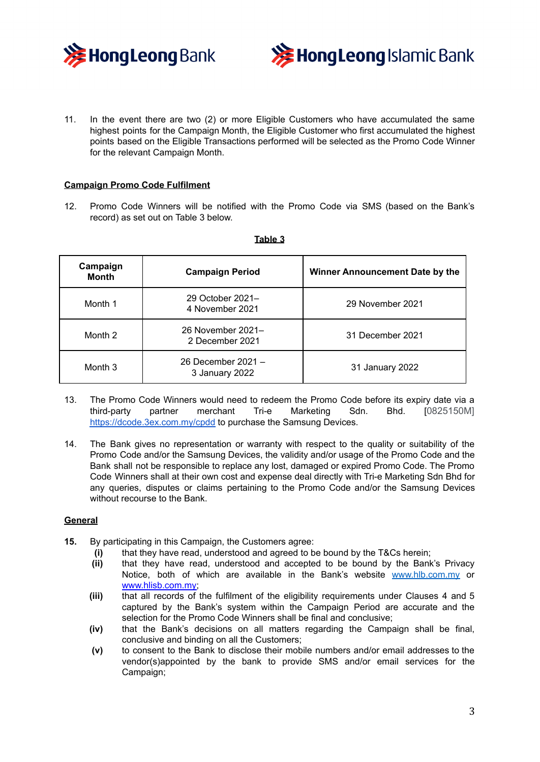



11. In the event there are two (2) or more Eligible Customers who have accumulated the same highest points for the Campaign Month, the Eligible Customer who first accumulated the highest points based on the Eligible Transactions performed will be selected as the Promo Code Winner for the relevant Campaign Month.

# **Campaign Promo Code Fulfilment**

12. Promo Code Winners will be notified with the Promo Code via SMS (based on the Bank's record) as set out on Table 3 below.

| Campaign<br><b>Month</b> | <b>Campaign Period</b>               | Winner Announcement Date by the |
|--------------------------|--------------------------------------|---------------------------------|
| Month 1                  | 29 October 2021-<br>4 November 2021  | 29 November 2021                |
| Month 2                  | 26 November 2021-<br>2 December 2021 | 31 December 2021                |
| Month 3                  | 26 December 2021 -<br>3 January 2022 | 31 January 2022                 |

#### **Table 3**

- 13. The Promo Code Winners would need to redeem the Promo Code before its expiry date via a third-party partner merchant Tri-e Marketing Sdn. Bhd. [0825150M] <https://dcode.3ex.com.my/cpdd> to purchase the Samsung Devices.
- 14. The Bank gives no representation or warranty with respect to the quality or suitability of the Promo Code and/or the Samsung Devices, the validity and/or usage of the Promo Code and the Bank shall not be responsible to replace any lost, damaged or expired Promo Code. The Promo Code Winners shall at their own cost and expense deal directly with Tri-e Marketing Sdn Bhd for any queries, disputes or claims pertaining to the Promo Code and/or the Samsung Devices without recourse to the Bank.

# **General**

- **15.** By participating in this Campaign, the Customers agree:
	- **(i)** that they have read, understood and agreed to be bound by the T&Cs herein;
	- **(ii)** that they have read, understood and accepted to be bound by the Bank's Privacy Notice, both of which are available in the Bank's website [www.hlb.com.my](http://www.hlb.com.my) or www.hlisb.com.my;
	- **(iii)** that all records of the fulfilment of the eligibility requirements under Clauses 4 and 5 captured by the Bank's system within the Campaign Period are accurate and the selection for the Promo Code Winners shall be final and conclusive;
	- **(iv)** that the Bank's decisions on all matters regarding the Campaign shall be final, conclusive and binding on all the Customers;
	- **(v)** to consent to the Bank to disclose their mobile numbers and/or email addresses to the vendor(s)appointed by the bank to provide SMS and/or email services for the Campaign;